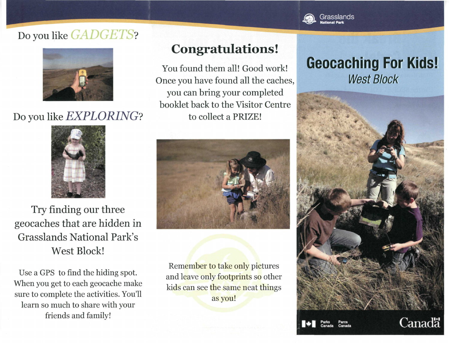## Do you like *GADGETS*?



## Do you like *EXPLORING?*



Try finding our three geocaches that are hidden in Grasslands National Park's West Block!

Use a GPS to find the hiding spot. When you get to each geocache make sure to complete the activities. You'll learn so much to share with your friends and family!

## **Congratulations !**

You found them all! Good work! Once you have found all the caches, you can bring your completed booklet back to the Visitor Centre to collect a PRIZE!



Remember to take only pictures and leave only footprints so other kids can see the same neat things as you!

## **Geocaching For Kids!**  West **Block**



**Canada**